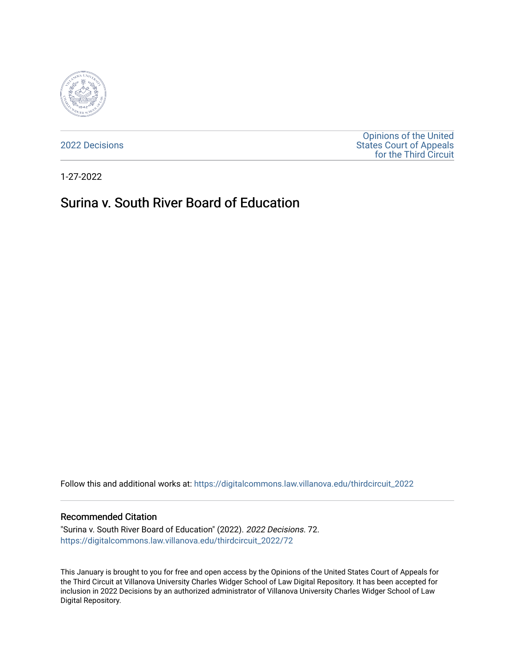

[2022 Decisions](https://digitalcommons.law.villanova.edu/thirdcircuit_2022)

[Opinions of the United](https://digitalcommons.law.villanova.edu/thirdcircuit)  [States Court of Appeals](https://digitalcommons.law.villanova.edu/thirdcircuit)  [for the Third Circuit](https://digitalcommons.law.villanova.edu/thirdcircuit) 

1-27-2022

# Surina v. South River Board of Education

Follow this and additional works at: [https://digitalcommons.law.villanova.edu/thirdcircuit\\_2022](https://digitalcommons.law.villanova.edu/thirdcircuit_2022?utm_source=digitalcommons.law.villanova.edu%2Fthirdcircuit_2022%2F72&utm_medium=PDF&utm_campaign=PDFCoverPages) 

#### Recommended Citation

"Surina v. South River Board of Education" (2022). 2022 Decisions. 72. [https://digitalcommons.law.villanova.edu/thirdcircuit\\_2022/72](https://digitalcommons.law.villanova.edu/thirdcircuit_2022/72?utm_source=digitalcommons.law.villanova.edu%2Fthirdcircuit_2022%2F72&utm_medium=PDF&utm_campaign=PDFCoverPages)

This January is brought to you for free and open access by the Opinions of the United States Court of Appeals for the Third Circuit at Villanova University Charles Widger School of Law Digital Repository. It has been accepted for inclusion in 2022 Decisions by an authorized administrator of Villanova University Charles Widger School of Law Digital Repository.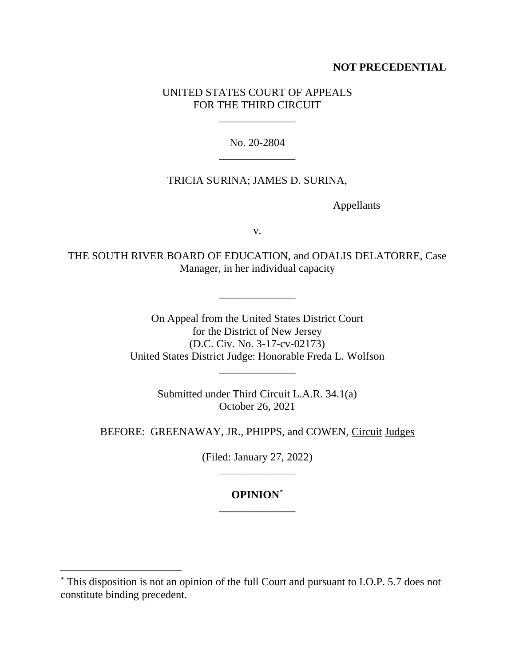## **NOT PRECEDENTIAL**

## UNITED STATES COURT OF APPEALS FOR THE THIRD CIRCUIT

\_\_\_\_\_\_\_\_\_\_\_\_\_\_

No. 20-2804 \_\_\_\_\_\_\_\_\_\_\_\_\_\_

### TRICIA SURINA; JAMES D. SURINA,

Appellants

v.

THE SOUTH RIVER BOARD OF EDUCATION, and ODALIS DELATORRE, Case Manager, in her individual capacity

\_\_\_\_\_\_\_\_\_\_\_\_\_\_

On Appeal from the United States District Court for the District of New Jersey (D.C. Civ. No. 3-17-cv-02173) United States District Judge: Honorable Freda L. Wolfson

\_\_\_\_\_\_\_\_\_\_\_\_\_\_

Submitted under Third Circuit L.A.R. 34.1(a) October 26, 2021

BEFORE: GREENAWAY, JR., PHIPPS, and COWEN, Circuit Judges

(Filed: January 27, 2022) \_\_\_\_\_\_\_\_\_\_\_\_\_\_

## **OPINION**\* \_\_\_\_\_\_\_\_\_\_\_\_\_\_

<sup>\*</sup> This disposition is not an opinion of the full Court and pursuant to I.O.P. 5.7 does not constitute binding precedent.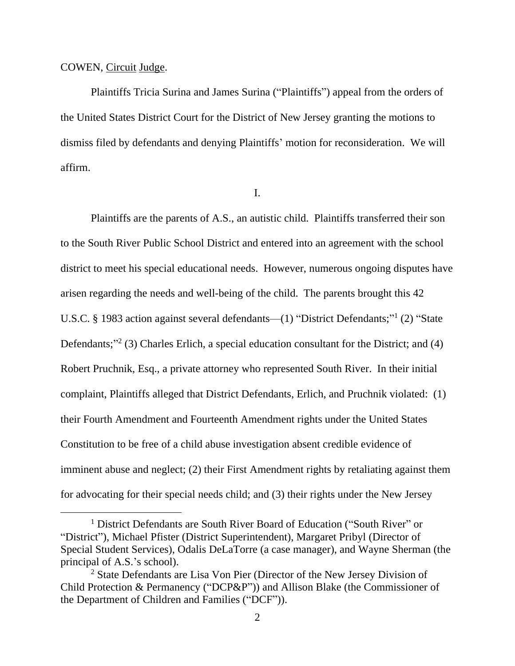#### COWEN, Circuit Judge.

Plaintiffs Tricia Surina and James Surina ("Plaintiffs") appeal from the orders of the United States District Court for the District of New Jersey granting the motions to dismiss filed by defendants and denying Plaintiffs' motion for reconsideration. We will affirm.

I.

Plaintiffs are the parents of A.S., an autistic child. Plaintiffs transferred their son to the South River Public School District and entered into an agreement with the school district to meet his special educational needs. However, numerous ongoing disputes have arisen regarding the needs and well-being of the child. The parents brought this 42 U.S.C. § 1983 action against several defendants—(1) "District Defendants;"<sup>1</sup> (2) "State Defendants;"<sup>2</sup> (3) Charles Erlich, a special education consultant for the District; and (4) Robert Pruchnik, Esq., a private attorney who represented South River. In their initial complaint, Plaintiffs alleged that District Defendants, Erlich, and Pruchnik violated: (1) their Fourth Amendment and Fourteenth Amendment rights under the United States Constitution to be free of a child abuse investigation absent credible evidence of imminent abuse and neglect; (2) their First Amendment rights by retaliating against them for advocating for their special needs child; and (3) their rights under the New Jersey

<sup>&</sup>lt;sup>1</sup> District Defendants are South River Board of Education ("South River" or "District"), Michael Pfister (District Superintendent), Margaret Pribyl (Director of Special Student Services), Odalis DeLaTorre (a case manager), and Wayne Sherman (the principal of A.S.'s school).

<sup>2</sup> State Defendants are Lisa Von Pier (Director of the New Jersey Division of Child Protection & Permanency ("DCP&P")) and Allison Blake (the Commissioner of the Department of Children and Families ("DCF")).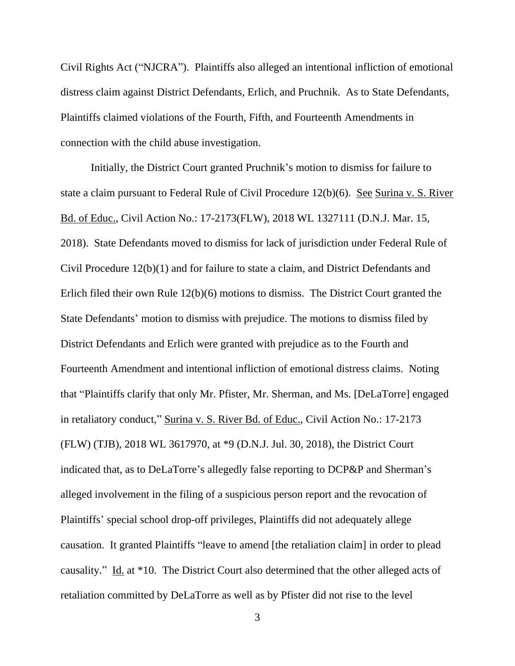Civil Rights Act ("NJCRA"). Plaintiffs also alleged an intentional infliction of emotional distress claim against District Defendants, Erlich, and Pruchnik. As to State Defendants, Plaintiffs claimed violations of the Fourth, Fifth, and Fourteenth Amendments in connection with the child abuse investigation.

Initially, the District Court granted Pruchnik's motion to dismiss for failure to state a claim pursuant to Federal Rule of Civil Procedure 12(b)(6). See Surina v. S. River Bd. of Educ., Civil Action No.: 17-2173(FLW), 2018 WL 1327111 (D.N.J. Mar. 15, 2018). State Defendants moved to dismiss for lack of jurisdiction under Federal Rule of Civil Procedure 12(b)(1) and for failure to state a claim, and District Defendants and Erlich filed their own Rule 12(b)(6) motions to dismiss. The District Court granted the State Defendants' motion to dismiss with prejudice. The motions to dismiss filed by District Defendants and Erlich were granted with prejudice as to the Fourth and Fourteenth Amendment and intentional infliction of emotional distress claims. Noting that "Plaintiffs clarify that only Mr. Pfister, Mr. Sherman, and Ms. [DeLaTorre] engaged in retaliatory conduct," Surina v. S. River Bd. of Educ., Civil Action No.: 17-2173 (FLW) (TJB), 2018 WL 3617970, at \*9 (D.N.J. Jul. 30, 2018), the District Court indicated that, as to DeLaTorre's allegedly false reporting to DCP&P and Sherman's alleged involvement in the filing of a suspicious person report and the revocation of Plaintiffs' special school drop-off privileges, Plaintiffs did not adequately allege causation. It granted Plaintiffs "leave to amend [the retaliation claim] in order to plead causality." Id. at \*10. The District Court also determined that the other alleged acts of retaliation committed by DeLaTorre as well as by Pfister did not rise to the level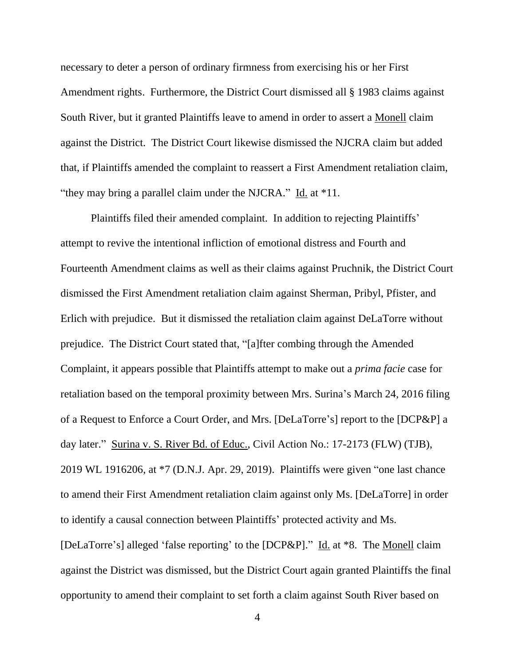necessary to deter a person of ordinary firmness from exercising his or her First Amendment rights. Furthermore, the District Court dismissed all § 1983 claims against South River, but it granted Plaintiffs leave to amend in order to assert a Monell claim against the District. The District Court likewise dismissed the NJCRA claim but added that, if Plaintiffs amended the complaint to reassert a First Amendment retaliation claim, "they may bring a parallel claim under the NJCRA." Id. at \*11.

Plaintiffs filed their amended complaint. In addition to rejecting Plaintiffs' attempt to revive the intentional infliction of emotional distress and Fourth and Fourteenth Amendment claims as well as their claims against Pruchnik, the District Court dismissed the First Amendment retaliation claim against Sherman, Pribyl, Pfister, and Erlich with prejudice. But it dismissed the retaliation claim against DeLaTorre without prejudice. The District Court stated that, "[a]fter combing through the Amended Complaint, it appears possible that Plaintiffs attempt to make out a *prima facie* case for retaliation based on the temporal proximity between Mrs. Surina's March 24, 2016 filing of a Request to Enforce a Court Order, and Mrs. [DeLaTorre's] report to the [DCP&P] a day later." Surina v. S. River Bd. of Educ., Civil Action No.: 17-2173 (FLW) (TJB), 2019 WL 1916206, at \*7 (D.N.J. Apr. 29, 2019). Plaintiffs were given "one last chance to amend their First Amendment retaliation claim against only Ms. [DeLaTorre] in order to identify a causal connection between Plaintiffs' protected activity and Ms. [DeLaTorre's] alleged 'false reporting' to the [DCP&P]." Id. at \*8. The Monell claim against the District was dismissed, but the District Court again granted Plaintiffs the final opportunity to amend their complaint to set forth a claim against South River based on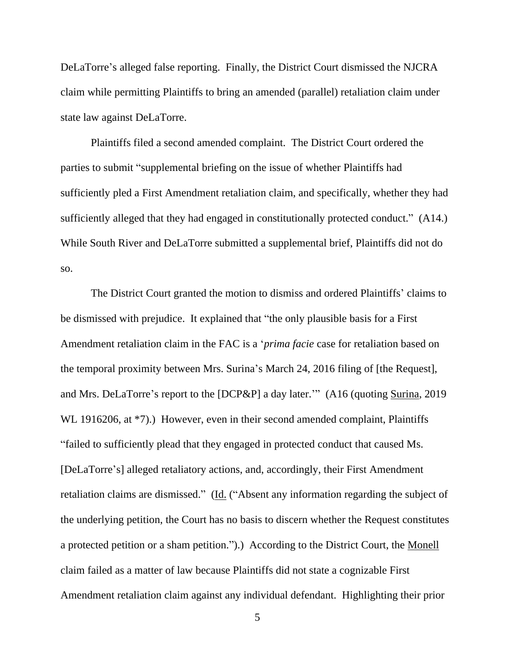DeLaTorre's alleged false reporting. Finally, the District Court dismissed the NJCRA claim while permitting Plaintiffs to bring an amended (parallel) retaliation claim under state law against DeLaTorre.

Plaintiffs filed a second amended complaint. The District Court ordered the parties to submit "supplemental briefing on the issue of whether Plaintiffs had sufficiently pled a First Amendment retaliation claim, and specifically, whether they had sufficiently alleged that they had engaged in constitutionally protected conduct." (A14.) While South River and DeLaTorre submitted a supplemental brief, Plaintiffs did not do so.

The District Court granted the motion to dismiss and ordered Plaintiffs' claims to be dismissed with prejudice. It explained that "the only plausible basis for a First Amendment retaliation claim in the FAC is a '*prima facie* case for retaliation based on the temporal proximity between Mrs. Surina's March 24, 2016 filing of [the Request], and Mrs. DeLaTorre's report to the [DCP&P] a day later.'" (A16 (quoting Surina, 2019 WL 1916206, at \*7).) However, even in their second amended complaint, Plaintiffs "failed to sufficiently plead that they engaged in protected conduct that caused Ms. [DeLaTorre's] alleged retaliatory actions, and, accordingly, their First Amendment retaliation claims are dismissed." (Id. ("Absent any information regarding the subject of the underlying petition, the Court has no basis to discern whether the Request constitutes a protected petition or a sham petition.").) According to the District Court, the Monell claim failed as a matter of law because Plaintiffs did not state a cognizable First Amendment retaliation claim against any individual defendant. Highlighting their prior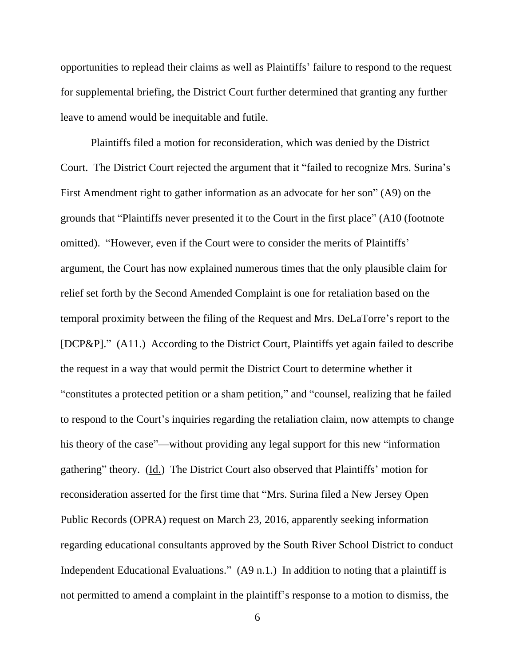opportunities to replead their claims as well as Plaintiffs' failure to respond to the request for supplemental briefing, the District Court further determined that granting any further leave to amend would be inequitable and futile.

Plaintiffs filed a motion for reconsideration, which was denied by the District Court. The District Court rejected the argument that it "failed to recognize Mrs. Surina's First Amendment right to gather information as an advocate for her son" (A9) on the grounds that "Plaintiffs never presented it to the Court in the first place" (A10 (footnote omitted). "However, even if the Court were to consider the merits of Plaintiffs' argument, the Court has now explained numerous times that the only plausible claim for relief set forth by the Second Amended Complaint is one for retaliation based on the temporal proximity between the filing of the Request and Mrs. DeLaTorre's report to the [DCP&P]." (A11.) According to the District Court, Plaintiffs yet again failed to describe the request in a way that would permit the District Court to determine whether it "constitutes a protected petition or a sham petition," and "counsel, realizing that he failed to respond to the Court's inquiries regarding the retaliation claim, now attempts to change his theory of the case"—without providing any legal support for this new "information gathering" theory. (Id.) The District Court also observed that Plaintiffs' motion for reconsideration asserted for the first time that "Mrs. Surina filed a New Jersey Open Public Records (OPRA) request on March 23, 2016, apparently seeking information regarding educational consultants approved by the South River School District to conduct Independent Educational Evaluations." (A9 n.1.) In addition to noting that a plaintiff is not permitted to amend a complaint in the plaintiff's response to a motion to dismiss, the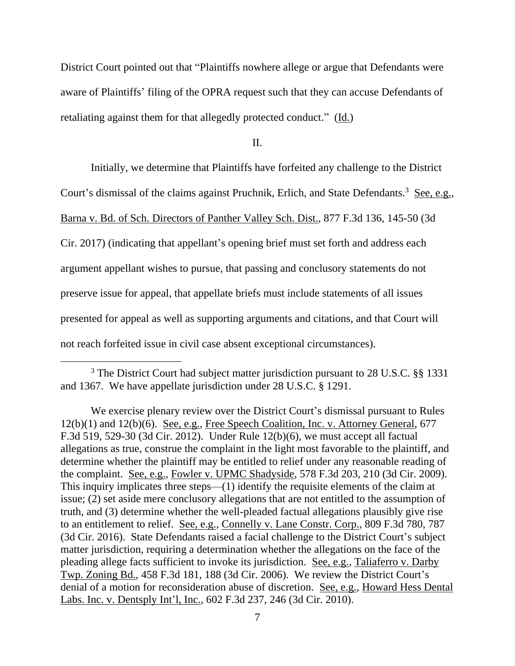District Court pointed out that "Plaintiffs nowhere allege or argue that Defendants were aware of Plaintiffs' filing of the OPRA request such that they can accuse Defendants of retaliating against them for that allegedly protected conduct." (Id.)

II.

Initially, we determine that Plaintiffs have forfeited any challenge to the District Court's dismissal of the claims against Pruchnik, Erlich, and State Defendants.<sup>3</sup> See, e.g., Barna v. Bd. of Sch. Directors of Panther Valley Sch. Dist., 877 F.3d 136, 145-50 (3d Cir. 2017) (indicating that appellant's opening brief must set forth and address each argument appellant wishes to pursue, that passing and conclusory statements do not preserve issue for appeal, that appellate briefs must include statements of all issues presented for appeal as well as supporting arguments and citations, and that Court will not reach forfeited issue in civil case absent exceptional circumstances).

<sup>&</sup>lt;sup>3</sup> The District Court had subject matter jurisdiction pursuant to 28 U.S.C. §§ 1331 and 1367. We have appellate jurisdiction under 28 U.S.C. § 1291.

We exercise plenary review over the District Court's dismissal pursuant to Rules 12(b)(1) and 12(b)(6). See, e.g., Free Speech Coalition, Inc. v. Attorney General, 677 F.3d 519, 529-30 (3d Cir. 2012). Under Rule 12(b)(6), we must accept all factual allegations as true, construe the complaint in the light most favorable to the plaintiff, and determine whether the plaintiff may be entitled to relief under any reasonable reading of the complaint. See, e.g., Fowler v. UPMC Shadyside, 578 F.3d 203, 210 (3d Cir. 2009). This inquiry implicates three steps—(1) identify the requisite elements of the claim at issue; (2) set aside mere conclusory allegations that are not entitled to the assumption of truth, and (3) determine whether the well-pleaded factual allegations plausibly give rise to an entitlement to relief. See, e.g., Connelly v. Lane Constr. Corp., 809 F.3d 780, 787 (3d Cir. 2016). State Defendants raised a facial challenge to the District Court's subject matter jurisdiction, requiring a determination whether the allegations on the face of the pleading allege facts sufficient to invoke its jurisdiction. See, e.g., Taliaferro v. Darby Twp. Zoning Bd., 458 F.3d 181, 188 (3d Cir. 2006). We review the District Court's denial of a motion for reconsideration abuse of discretion. See, e.g., Howard Hess Dental Labs. Inc. v. Dentsply Int'l, Inc., 602 F.3d 237, 246 (3d Cir. 2010).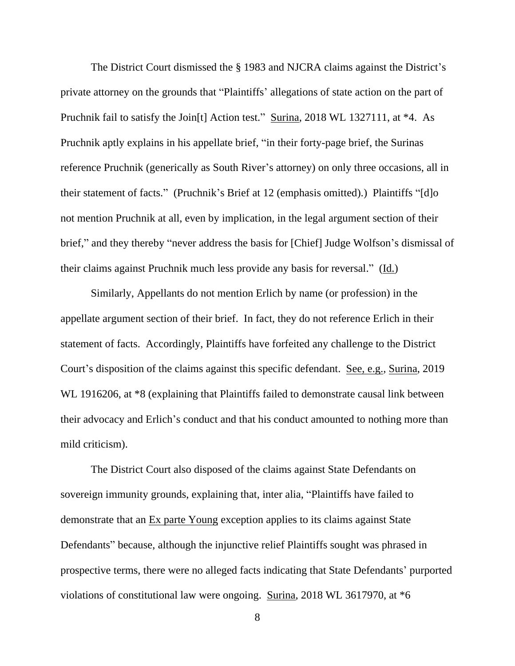The District Court dismissed the § 1983 and NJCRA claims against the District's private attorney on the grounds that "Plaintiffs' allegations of state action on the part of Pruchnik fail to satisfy the Join<sup>[t]</sup> Action test." Surina, 2018 WL 1327111, at \*4. As Pruchnik aptly explains in his appellate brief, "in their forty-page brief, the Surinas reference Pruchnik (generically as South River's attorney) on only three occasions, all in their statement of facts." (Pruchnik's Brief at 12 (emphasis omitted).) Plaintiffs "[d]o not mention Pruchnik at all, even by implication, in the legal argument section of their brief," and they thereby "never address the basis for [Chief] Judge Wolfson's dismissal of their claims against Pruchnik much less provide any basis for reversal." (Id.)

Similarly, Appellants do not mention Erlich by name (or profession) in the appellate argument section of their brief. In fact, they do not reference Erlich in their statement of facts. Accordingly, Plaintiffs have forfeited any challenge to the District Court's disposition of the claims against this specific defendant. See, e.g., Surina, 2019 WL 1916206, at  $*8$  (explaining that Plaintiffs failed to demonstrate causal link between their advocacy and Erlich's conduct and that his conduct amounted to nothing more than mild criticism).

The District Court also disposed of the claims against State Defendants on sovereign immunity grounds, explaining that, inter alia, "Plaintiffs have failed to demonstrate that an Ex parte Young exception applies to its claims against State Defendants" because, although the injunctive relief Plaintiffs sought was phrased in prospective terms, there were no alleged facts indicating that State Defendants' purported violations of constitutional law were ongoing. Surina, 2018 WL 3617970, at \*6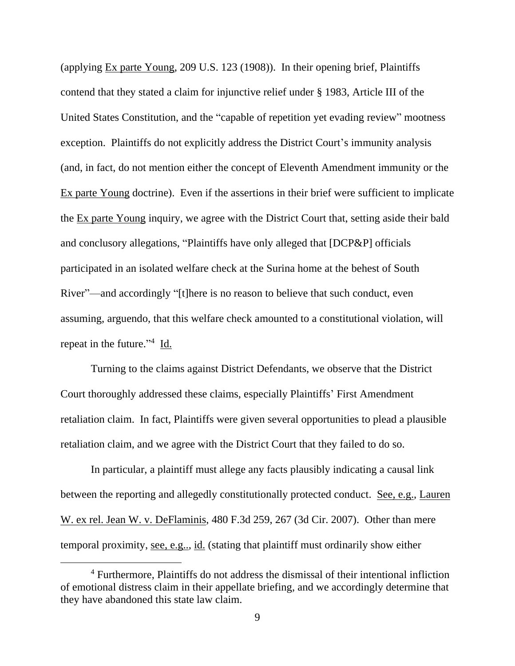(applying Ex parte Young, 209 U.S. 123 (1908)). In their opening brief, Plaintiffs contend that they stated a claim for injunctive relief under § 1983, Article III of the United States Constitution, and the "capable of repetition yet evading review" mootness exception. Plaintiffs do not explicitly address the District Court's immunity analysis (and, in fact, do not mention either the concept of Eleventh Amendment immunity or the Ex parte Young doctrine). Even if the assertions in their brief were sufficient to implicate the Ex parte Young inquiry, we agree with the District Court that, setting aside their bald and conclusory allegations, "Plaintiffs have only alleged that [DCP&P] officials participated in an isolated welfare check at the Surina home at the behest of South River"—and accordingly "[t]here is no reason to believe that such conduct, even assuming, arguendo, that this welfare check amounted to a constitutional violation, will repeat in the future."<sup>4</sup> Id.

Turning to the claims against District Defendants, we observe that the District Court thoroughly addressed these claims, especially Plaintiffs' First Amendment retaliation claim. In fact, Plaintiffs were given several opportunities to plead a plausible retaliation claim, and we agree with the District Court that they failed to do so.

In particular, a plaintiff must allege any facts plausibly indicating a causal link between the reporting and allegedly constitutionally protected conduct. See, e.g., Lauren W. ex rel. Jean W. v. DeFlaminis, 480 F.3d 259, 267 (3d Cir. 2007). Other than mere temporal proximity, see, e.g.., id. (stating that plaintiff must ordinarily show either

<sup>4</sup> Furthermore, Plaintiffs do not address the dismissal of their intentional infliction of emotional distress claim in their appellate briefing, and we accordingly determine that they have abandoned this state law claim.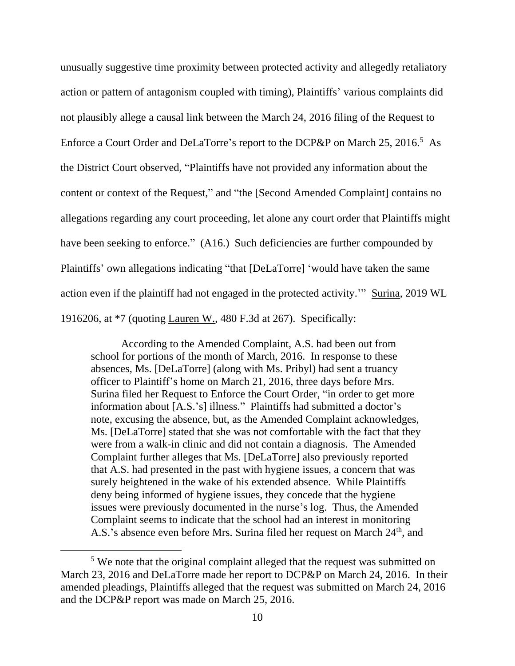unusually suggestive time proximity between protected activity and allegedly retaliatory action or pattern of antagonism coupled with timing), Plaintiffs' various complaints did not plausibly allege a causal link between the March 24, 2016 filing of the Request to Enforce a Court Order and DeLaTorre's report to the DCP&P on March 25, 2016.<sup>5</sup> As the District Court observed, "Plaintiffs have not provided any information about the content or context of the Request," and "the [Second Amended Complaint] contains no allegations regarding any court proceeding, let alone any court order that Plaintiffs might have been seeking to enforce." (A16.) Such deficiencies are further compounded by Plaintiffs' own allegations indicating "that [DeLaTorre] 'would have taken the same action even if the plaintiff had not engaged in the protected activity.'" Surina, 2019 WL 1916206, at \*7 (quoting Lauren W., 480 F.3d at 267). Specifically:

According to the Amended Complaint, A.S. had been out from school for portions of the month of March, 2016. In response to these absences, Ms. [DeLaTorre] (along with Ms. Pribyl) had sent a truancy officer to Plaintiff's home on March 21, 2016, three days before Mrs. Surina filed her Request to Enforce the Court Order, "in order to get more information about [A.S.'s] illness." Plaintiffs had submitted a doctor's note, excusing the absence, but, as the Amended Complaint acknowledges, Ms. [DeLaTorre] stated that she was not comfortable with the fact that they were from a walk-in clinic and did not contain a diagnosis. The Amended Complaint further alleges that Ms. [DeLaTorre] also previously reported that A.S. had presented in the past with hygiene issues, a concern that was surely heightened in the wake of his extended absence. While Plaintiffs deny being informed of hygiene issues, they concede that the hygiene issues were previously documented in the nurse's log. Thus, the Amended Complaint seems to indicate that the school had an interest in monitoring A.S.'s absence even before Mrs. Surina filed her request on March 24<sup>th</sup>, and

<sup>&</sup>lt;sup>5</sup> We note that the original complaint alleged that the request was submitted on March 23, 2016 and DeLaTorre made her report to DCP&P on March 24, 2016. In their amended pleadings, Plaintiffs alleged that the request was submitted on March 24, 2016 and the DCP&P report was made on March 25, 2016.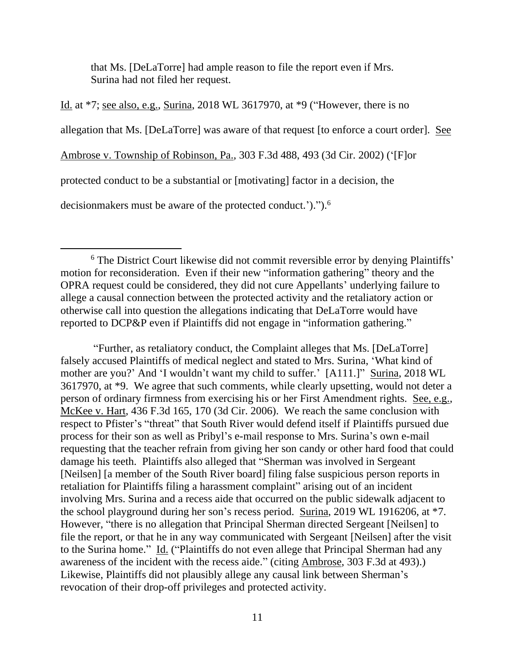that Ms. [DeLaTorre] had ample reason to file the report even if Mrs. Surina had not filed her request.

Id. at \*7; see also, e.g., Surina, 2018 WL 3617970, at \*9 ("However, there is no allegation that Ms. [DeLaTorre] was aware of that request [to enforce a court order]. See Ambrose v. Township of Robinson, Pa., 303 F.3d 488, 493 (3d Cir. 2002) ('[F]or protected conduct to be a substantial or [motivating] factor in a decision, the decisionmakers must be aware of the protected conduct.').").<sup>6</sup>

"Further, as retaliatory conduct, the Complaint alleges that Ms. [DeLaTorre] falsely accused Plaintiffs of medical neglect and stated to Mrs. Surina, 'What kind of mother are you?' And 'I wouldn't want my child to suffer.' [A111.]" Surina, 2018 WL 3617970, at \*9. We agree that such comments, while clearly upsetting, would not deter a person of ordinary firmness from exercising his or her First Amendment rights. See, e.g., McKee v. Hart, 436 F.3d 165, 170 (3d Cir. 2006). We reach the same conclusion with respect to Pfister's "threat" that South River would defend itself if Plaintiffs pursued due process for their son as well as Pribyl's e-mail response to Mrs. Surina's own e-mail requesting that the teacher refrain from giving her son candy or other hard food that could damage his teeth. Plaintiffs also alleged that "Sherman was involved in Sergeant [Neilsen] [a member of the South River board] filing false suspicious person reports in retaliation for Plaintiffs filing a harassment complaint" arising out of an incident involving Mrs. Surina and a recess aide that occurred on the public sidewalk adjacent to the school playground during her son's recess period. Surina, 2019 WL 1916206, at \*7. However, "there is no allegation that Principal Sherman directed Sergeant [Neilsen] to file the report, or that he in any way communicated with Sergeant [Neilsen] after the visit to the Surina home." Id. ("Plaintiffs do not even allege that Principal Sherman had any awareness of the incident with the recess aide." (citing Ambrose, 303 F.3d at 493).) Likewise, Plaintiffs did not plausibly allege any causal link between Sherman's revocation of their drop-off privileges and protected activity.

<sup>&</sup>lt;sup>6</sup> The District Court likewise did not commit reversible error by denying Plaintiffs' motion for reconsideration. Even if their new "information gathering" theory and the OPRA request could be considered, they did not cure Appellants' underlying failure to allege a causal connection between the protected activity and the retaliatory action or otherwise call into question the allegations indicating that DeLaTorre would have reported to DCP&P even if Plaintiffs did not engage in "information gathering."